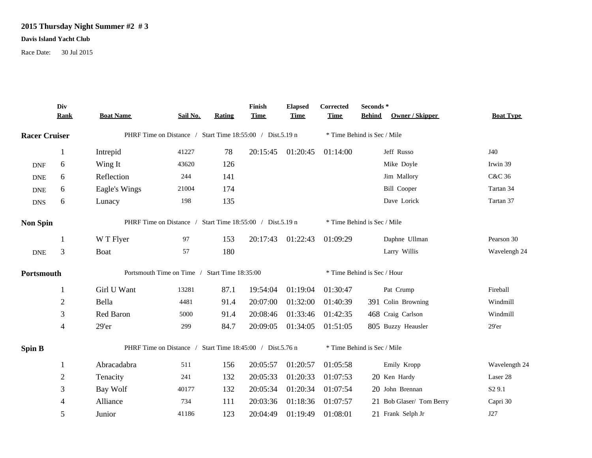## **2015 Thursday Night Summer #2 # 3**

## **Davis Island Yacht Club**

Race Date: 30 Jul 2015

|                             | Div<br><b>Rank</b> | <b>Boat Name</b>                                          | Sail No. | Rating | Finish<br><b>Time</b> | <b>Elapsed</b><br><b>Time</b> | Corrected<br><b>Time</b>    | Seconds*<br><b>Behind</b> | Owner / Skipper          | <b>Boat Type</b>   |
|-----------------------------|--------------------|-----------------------------------------------------------|----------|--------|-----------------------|-------------------------------|-----------------------------|---------------------------|--------------------------|--------------------|
| <b>Racer Cruiser</b>        |                    | PHRF Time on Distance / Start Time 18:55:00 / Dist.5.19 n |          |        |                       | * Time Behind is Sec / Mile   |                             |                           |                          |                    |
|                             | 1                  | Intrepid                                                  | 41227    | 78     | 20:15:45              | 01:20:45                      | 01:14:00                    |                           | Jeff Russo               | J40                |
| <b>DNF</b>                  | 6                  | Wing It                                                   | 43620    | 126    |                       |                               |                             |                           | Mike Doyle               | Irwin 39           |
| <b>DNE</b>                  | 6                  | Reflection                                                | 244      | 141    |                       |                               |                             |                           | Jim Mallory              | C&C 36             |
| <b>DNE</b>                  | 6                  | Eagle's Wings                                             | 21004    | 174    |                       |                               |                             |                           | <b>Bill Cooper</b>       | Tartan 34          |
| <b>DNS</b>                  | 6                  | Lunacy                                                    | 198      | 135    |                       |                               |                             |                           | Dave Lorick              | Tartan 37          |
| <b>Non Spin</b>             |                    | PHRF Time on Distance / Start Time 18:55:00 / Dist.5.19 n |          |        |                       |                               | * Time Behind is Sec / Mile |                           |                          |                    |
|                             |                    | W T Flyer                                                 | 97       | 153    | 20:17:43              | 01:22:43                      | 01:09:29                    |                           | Daphne Ullman            | Pearson 30         |
| $\ensuremath{\mathsf{DNE}}$ | 3                  | Boat                                                      | 57       | 180    |                       |                               |                             |                           | Larry Willis             | Wavelengh 24       |
| Portsmouth                  |                    | Portsmouth Time on Time / Start Time 18:35:00             |          |        |                       |                               | * Time Behind is Sec / Hour |                           |                          |                    |
|                             | 1                  | Girl U Want                                               | 13281    | 87.1   | 19:54:04              | 01:19:04                      | 01:30:47                    |                           | Pat Crump                | Fireball           |
|                             | $\overline{c}$     | Bella                                                     | 4481     | 91.4   | 20:07:00              | 01:32:00                      | 01:40:39                    |                           | 391 Colin Browning       | Windmill           |
|                             | 3                  | Red Baron                                                 | 5000     | 91.4   | 20:08:46              | 01:33:46                      | 01:42:35                    |                           | 468 Craig Carlson        | Windmill           |
|                             | 4                  | 29'er                                                     | 299      | 84.7   | 20:09:05              | 01:34:05                      | 01:51:05                    |                           | 805 Buzzy Heausler       | $29'$ er           |
| <b>Spin B</b>               |                    | PHRF Time on Distance / Start Time 18:45:00 / Dist.5.76 n |          |        |                       |                               | * Time Behind is Sec / Mile |                           |                          |                    |
|                             | 1                  | Abracadabra                                               | 511      | 156    | 20:05:57              | 01:20:57                      | 01:05:58                    |                           | Emily Kropp              | Wavelength 24      |
|                             | $\overline{c}$     | Tenacity                                                  | 241      | 132    | 20:05:33              | 01:20:33                      | 01:07:53                    |                           | 20 Ken Hardy             | Laser 28           |
|                             | 3                  | Bay Wolf                                                  | 40177    | 132    | 20:05:34              | 01:20:34                      | 01:07:54                    |                           | 20 John Brennan          | S <sub>2</sub> 9.1 |
|                             | 4                  | Alliance                                                  | 734      | 111    | 20:03:36              | 01:18:36                      | 01:07:57                    |                           | 21 Bob Glaser/ Tom Berry | Capri 30           |
|                             | 5                  | Junior                                                    | 41186    | 123    | 20:04:49              | 01:19:49                      | 01:08:01                    |                           | 21 Frank Selph Jr        | J27                |